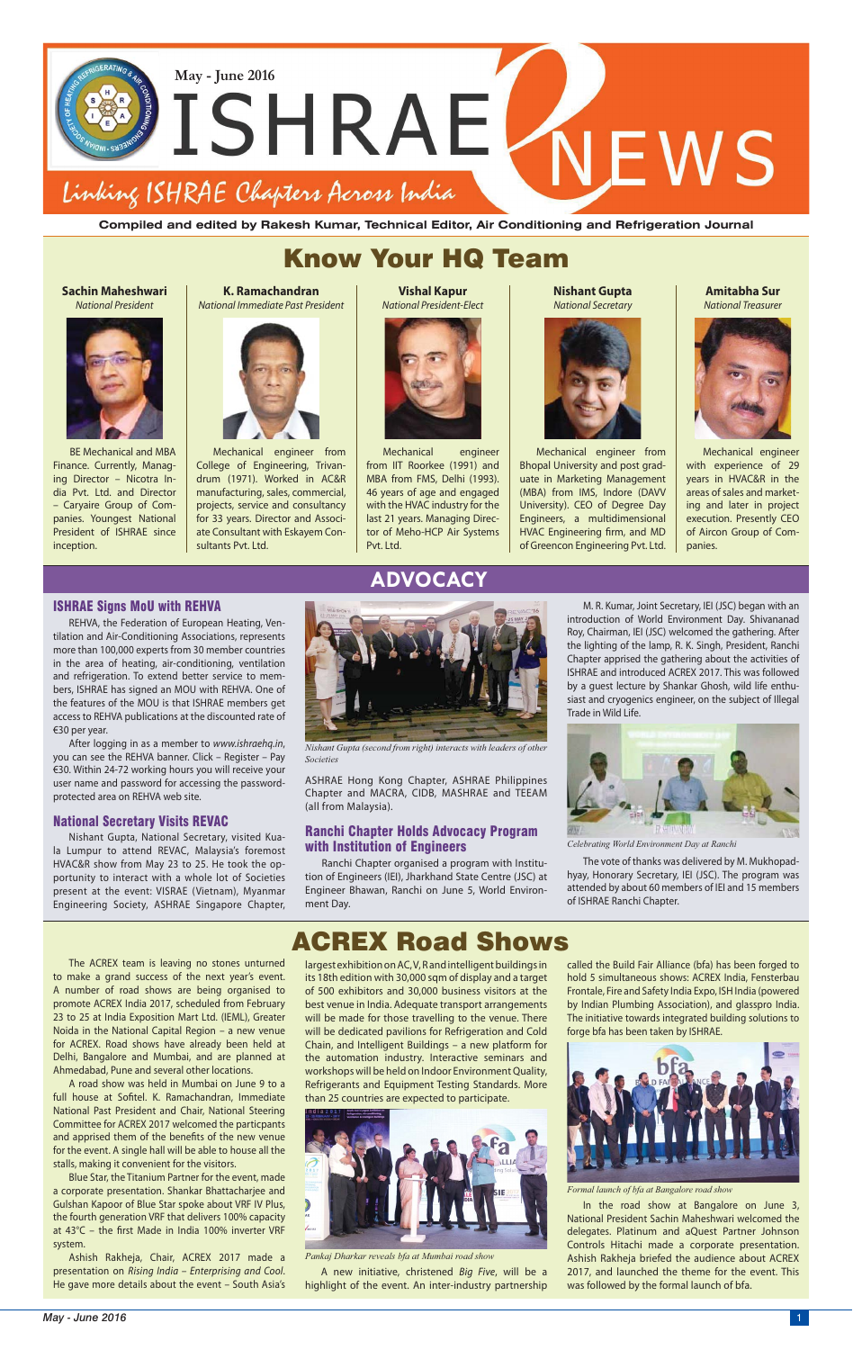# Know Your HQ Team

**Compiled and edited by Rakesh Kumar, Technical Editor, Air Conditioning and Refrigeration Journal**



**Sachin Maheshwari** *National President*



BE Mechanical and MBA Finance. Currently, Managing Director – Nicotra India Pvt. Ltd. and Director – Caryaire Group of Companies. Youngest National President of ISHRAE since inception.

#### **K. Ramachandran** *National Immediate Past President*



Mechanical engineer from College of Engineering, Trivandrum (1971). Worked in AC&R manufacturing, sales, commercial, projects, service and consultancy for 33 years. Director and Associate Consultant with Eskayem Consultants Pvt. Ltd.

#### **Vishal Kapur** *National President-Elect*



Mechanical engineer from IIT Roorkee (1991) and MBA from FMS, Delhi (1993). 46 years of age and engaged with the HVAC industry for the last 21 years. Managing Director of Meho-HCP Air Systems Pvt. Ltd.

**Nishant Gupta** *National Secretary*



Mechanical engineer from Bhopal University and post graduate in Marketing Management (MBA) from IMS, Indore (DAVV University). CEO of Degree Day Engineers, a multidimensional HVAC Engineering firm, and MD of Greencon Engineering Pvt. Ltd.

**Amitabha Sur** *National Treasurer*



Mechanical engineer with experience of 29 years in HVAC&R in the areas of sales and marketing and later in project execution. Presently CEO of Aircon Group of Companies.

## ISHRAE Signs MoU with REHVA

REHVA, the Federation of European Heating, Ventilation and Air-Conditioning Associations, represents more than 100,000 experts from 30 member countries in the area of heating, air-conditioning, ventilation and refrigeration. To extend better service to members, ISHRAE has signed an MOU with REHVA. One of the features of the MOU is that ISHRAE members get access to REHVA publications at the discounted rate of €30 per year.

After logging in as a member to *www.ishraehq.in*, you can see the REHVA banner. Click – Register – Pay €30. Within 24-72 working hours you will receive your user name and password for accessing the passwordprotected area on REHVA web site.

## National Secretary Visits REVAC

Nishant Gupta, National Secretary, visited Kuala Lumpur to attend REVAC, Malaysia's foremost HVAC&R show from May 23 to 25. He took the opportunity to interact with a whole lot of Societies present at the event: VISRAE (Vietnam), Myanmar Engineering Society, ASHRAE Singapore Chapter,

## **ADVOCACY**

# ACREX Road Shows

ASHRAE Hong Kong Chapter, ASHRAE Philippines Chapter and MACRA, CIDB, MASHRAE and TEEAM (all from Malaysia).

## Ranchi Chapter Holds Advocacy Program with Institution of Engineers

Ranchi Chapter organised a program with Institution of Engineers (IEI), Jharkhand State Centre (JSC) at Engineer Bhawan, Ranchi on June 5, World Environment Day.

The ACREX team is leaving no stones unturned to make a grand success of the next year's event. A number of road shows are being organised to promote ACREX India 2017, scheduled from February 23 to 25 at India Exposition Mart Ltd. (IEML), Greater Noida in the National Capital Region – a new venue for ACREX. Road shows have already been held at Delhi, Bangalore and Mumbai, and are planned at Ahmedabad, Pune and several other locations. A road show was held in Mumbai on June 9 to a full house at Sofitel. K. Ramachandran, Immediate National Past President and Chair, National Steering Committee for ACREX 2017 welcomed the particpants and apprised them of the benefits of the new venue for the event. A single hall will be able to house all the stalls, making it convenient for the visitors. Blue Star, the Titanium Partner for the event, made a corporate presentation. Shankar Bhattacharjee and Gulshan Kapoor of Blue Star spoke about VRF IV Plus, the fourth generation VRF that delivers 100% capacity at  $43^{\circ}$ C – the first Made in India 100% inverter VRF system.

Ashish Rakheja, Chair, ACREX 2017 made a presentation on *Rising India – Enterprising and Cool*. He gave more details about the event – South Asia's

M. R. Kumar, Joint Secretary, IEI (JSC) began with an introduction of World Environment Day. Shivananad Roy, Chairman, IEI (JSC) welcomed the gathering. After the lighting of the lamp, R. K. Singh, President, Ranchi Chapter apprised the gathering about the activities of ISHRAE and introduced ACREX 2017. This was followed by a guest lecture by Shankar Ghosh, wild life enthusiast and cryogenics engineer, on the subject of Illegal Trade in Wild Life.

The vote of thanks was delivered by M. Mukhopadhyay, Honorary Secretary, IEI (JSC). The program was attended by about 60 members of IEI and 15 members of ISHRAE Ranchi Chapter.



*Nishant Gupta (second from right) interacts with leaders of other Societies*



*Celebrating World Environment Day at Ranchi*

largest exhibition on AC, V, R and intelligent buildings in its 18th edition with 30,000 sqm of display and a target of 500 exhibitors and 30,000 business visitors at the best venue in India. Adequate transport arrangements will be made for those travelling to the venue. There will be dedicated pavilions for Refrigeration and Cold Chain, and Intelligent Buildings – a new platform for

the automation industry. Interactive seminars and workshops will be held on Indoor Environment Quality, Refrigerants and Equipment Testing Standards. More than 25 countries are expected to participate.



A new initiative, christened *Big Five*, will be a highlight of the event. An inter-industry partnership

*Pankaj Dharkar reveals bfa at Mumbai road show*

called the Build Fair Alliance (bfa) has been forged to hold 5 simultaneous shows: ACREX India, Fensterbau Frontale, Fire and Safety India Expo, ISH India (powered by Indian Plumbing Association), and glasspro India. The initiative towards integrated building solutions to forge bfa has been taken by ISHRAE.



In the road show at Bangalore on June 3, National President Sachin Maheshwari welcomed the delegates. Platinum and aQuest Partner Johnson Controls Hitachi made a corporate presentation. Ashish Rakheja briefed the audience about ACREX 2017, and launched the theme for the event. This was followed by the formal launch of bfa.

#### *Formal launch of bfa at Bangalore road show*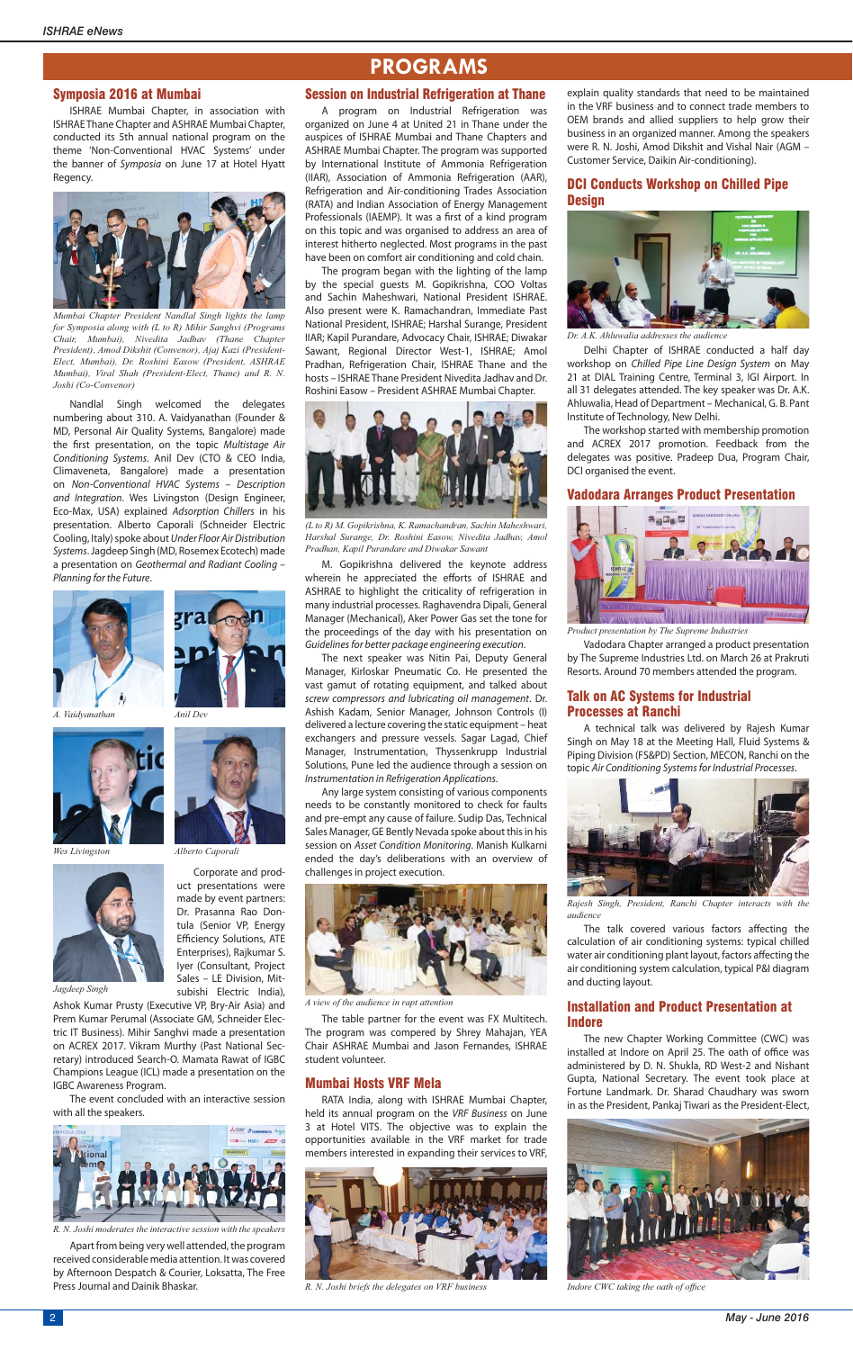#### Symposia 2016 at Mumbai

ISHRAE Mumbai Chapter, in association with ISHRAE Thane Chapter and ASHRAE Mumbai Chapter, conducted its 5th annual national program on the theme 'Non-Conventional HVAC Systems' under the banner of *Symposia* on June 17 at Hotel Hyatt Regency.

Nandlal Singh welcomed the delegates numbering about 310. A. Vaidyanathan (Founder & MD, Personal Air Quality Systems, Bangalore) made the first presentation, on the topic *Multistage Air Conditioning Systems*. Anil Dev (CTO & CEO India, Climaveneta, Bangalore) made a presentation on *Non-Conventional HVAC Systems – Description and Integration*. Wes Livingston (Design Engineer, Eco-Max, USA) explained *Adsorption Chillers* in his presentation. Alberto Caporali (Schneider Electric Cooling, Italy) spoke about *Under Floor Air Distribution Systems*. Jagdeep Singh (MD, Rosemex Ecotech) made a presentation on *Geothermal and Radiant Cooling – Planning for the Future*.





Corporate and product presentations were made by event partners: Dr. Prasanna Rao Dontula (Senior VP, Energy Efficiency Solutions, ATE Enterprises), Rajkumar S. Iyer (Consultant, Project Sales – LE Division, Mitsubishi Electric India),

Ashok Kumar Prusty (Executive VP, Bry-Air Asia) and Prem Kumar Perumal (Associate GM, Schneider Electric IT Business). Mihir Sanghvi made a presentation on ACREX 2017. Vikram Murthy (Past National Sec-

retary) introduced Search-O. Mamata Rawat of IGBC Champions League (ICL) made a presentation on the IGBC Awareness Program.

The event concluded with an interactive session with all the speakers.

Apart from being very well attended, the program received considerable media attention. It was covered by Afternoon Despatch & Courier, Loksatta, The Free Press Journal and Dainik Bhaskar.

## **PROGRAMS**

## Session on Industrial Refrigeration at Thane

A program on Industrial Refrigeration was organized on June 4 at United 21 in Thane under the auspices of ISHRAE Mumbai and Thane Chapters and ASHRAE Mumbai Chapter. The program was supported by International Institute of Ammonia Refrigeration (IIAR), Association of Ammonia Refrigeration (AAR), Refrigeration and Air-conditioning Trades Association (RATA) and Indian Association of Energy Management Professionals (IAEMP). It was a first of a kind program on this topic and was organised to address an area of interest hitherto neglected. Most programs in the past have been on comfort air conditioning and cold chain.

## DCI Conducts Workshop on Chilled Pipe **Design**

The program began with the lighting of the lamp by the special guests M. Gopikrishna, COO Voltas and Sachin Maheshwari, National President ISHRAE. Also present were K. Ramachandran, Immediate Past National President, ISHRAE; Harshal Surange, President IIAR; Kapil Purandare, Advocacy Chair, ISHRAE; Diwakar Sawant, Regional Director West-1, ISHRAE; Amol Pradhan, Refrigeration Chair, ISHRAE Thane and the hosts – ISHRAE Thane President Nivedita Jadhav and Dr. Roshini Easow – President ASHRAE Mumbai Chapter.

> The talk covered various factors affecting the calculation of air conditioning systems: typical chilled water air conditioning plant layout, factors affecting the air conditioning system calculation, typical P&I diagram and ducting layout.

M. Gopikrishna delivered the keynote address wherein he appreciated the efforts of ISHRAE and ASHRAE to highlight the criticality of refrigeration in many industrial processes. Raghavendra Dipali, General Manager (Mechanical), Aker Power Gas set the tone for the proceedings of the day with his presentation on *Guidelines for better package engineering execution*.

The next speaker was Nitin Pai, Deputy General Manager, Kirloskar Pneumatic Co. He presented the vast gamut of rotating equipment, and talked about *screw compressors and lubricating oil management*. Dr. Ashish Kadam, Senior Manager, Johnson Controls (I) delivered a lecture covering the static equipment – heat exchangers and pressure vessels. Sagar Lagad, Chief Manager, Instrumentation, Thyssenkrupp Industrial Solutions, Pune led the audience through a session on *Instrumentation in Refrigeration Applications*.

Any large system consisting of various components needs to be constantly monitored to check for faults and pre-empt any cause of failure. Sudip Das, Technical Sales Manager, GE Bently Nevada spoke about this in his session on *Asset Condition Monitoring*. Manish Kulkarni ended the day's deliberations with an overview of challenges in project execution.

The table partner for the event was FX Multitech. The program was compered by Shrey Mahajan, YEA Chair ASHRAE Mumbai and Jason Fernandes, ISHRAE

student volunteer.

## Mumbai Hosts VRF Mela

RATA India, along with ISHRAE Mumbai Chapter, held its annual program on the *VRF Business* on June 3 at Hotel VITS. The objective was to explain the opportunities available in the VRF market for trade members interested in expanding their services to VRF, explain quality standards that need to be maintained in the VRF business and to connect trade members to OEM brands and allied suppliers to help grow their business in an organized manner. Among the speakers were R. N. Joshi, Amod Dikshit and Vishal Nair (AGM – Customer Service, Daikin Air-conditioning).

Delhi Chapter of ISHRAE conducted a half day workshop on *Chilled Pipe Line Design System* on May 21 at DIAL Training Centre, Terminal 3, IGI Airport. In all 31 delegates attended. The key speaker was Dr. A.K. Ahluwalia, Head of Department – Mechanical, G. B. Pant Institute of Technology, New Delhi.

The workshop started with membership promotion and ACREX 2017 promotion. Feedback from the delegates was positive. Pradeep Dua, Program Chair, DCI organised the event.

#### Vadodara Arranges Product Presentation

Vadodara Chapter arranged a product presentation by The Supreme Industries Ltd. on March 26 at Prakruti Resorts. Around 70 members attended the program.

### Talk on AC Systems for Industrial Processes at Ranchi

A technical talk was delivered by Rajesh Kumar Singh on May 18 at the Meeting Hall, Fluid Systems & Piping Division (FS&PD) Section, MECON, Ranchi on the topic *Air Conditioning Systems for Industrial Processes*.

### Installation and Product Presentation at Indore

The new Chapter Working Committee (CWC) was talled at Indore on April 25. The oath of office w administered by D. N. Shukla, RD West-2 and Nishant Gupta, National Secretary. The event took place at Fortune Landmark. Dr. Sharad Chaudhary was sworn in as the President, Pankaj Tiwari as the President-Elect,

*A. Vaidyanathan*



*Mumbai Chapter President Nandlal Singh lights the lamp for Symposia along with (L to R) Mihir Sanghvi (Programs Chair, Mumbai), Nivedita Jadhav (Thane Chapter President), Amod Dikshit (Convenor), Ajaj Kazi (President-Elect, Mumbai), Dr. Roshini Easow (President, ASHRAE Mumbai), Viral Shah (President-Elect, Thane) and R. N. Joshi (Co-Convenor)*



*(L to R) M. Gopikrishna, K. Ramachandran, Sachin Maheshwari, Harshal Surange, Dr. Roshini Easow, Nivedita Jadhav, Amol Pradhan, Kapil Purandare and Diwakar Sawant*



*Dr. A.K. Ahluwalia addresses the audience*



*Product presentation by The Supreme Industries*



*Rajesh Singh, President, Ranchi Chapter interacts with the audience*



*A view of the audience in rapt attention*



*R. N. Joshi briefs the delegates on VRF business*



Indore CWC taking the oath of office



*R. N. Joshi moderates the interactive session with the speakers*



*Wes Livingston*



*Jagdeep Singh*

*Anil Dev*



*Alberto Caporali*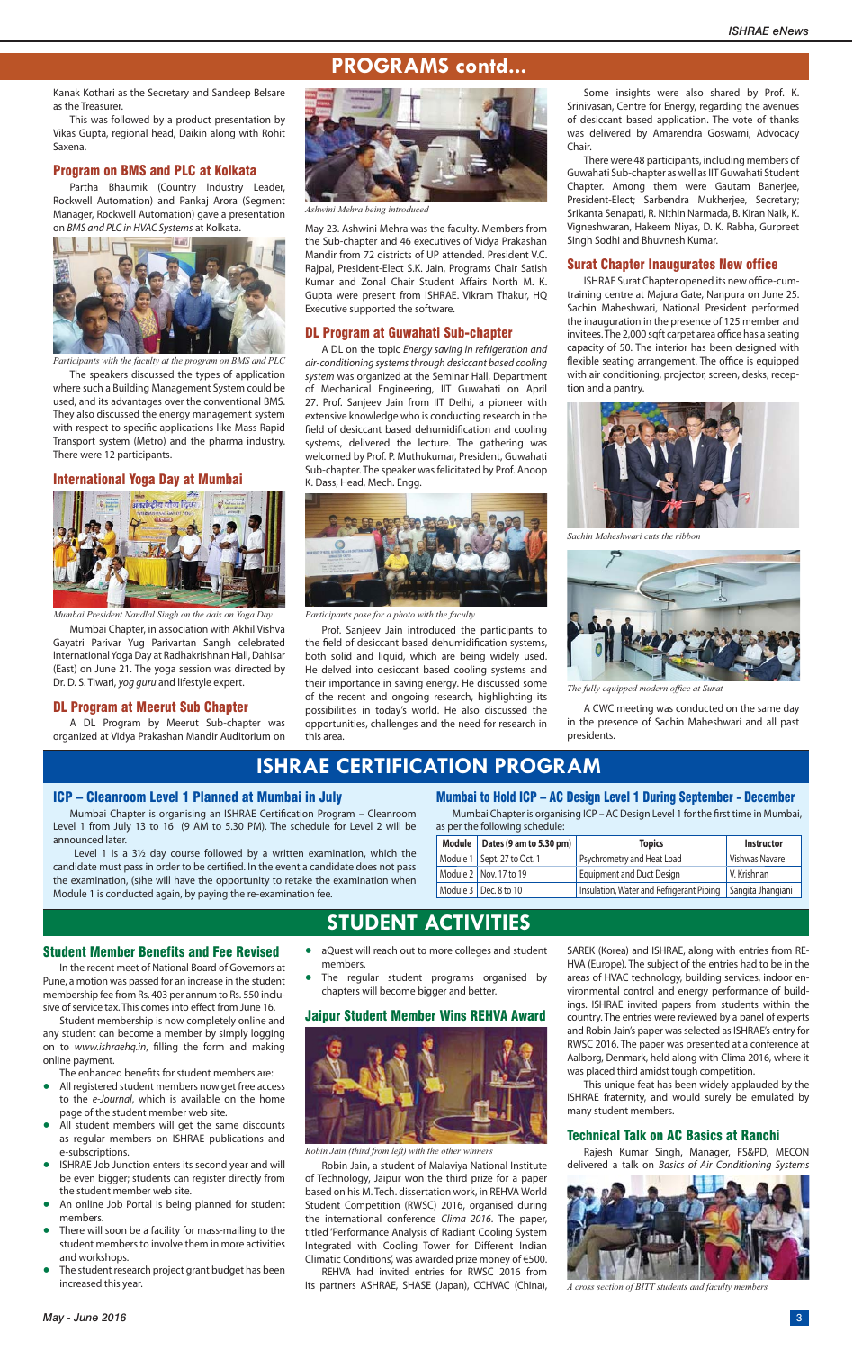Some insights were also shared by Prof. K. Srinivasan, Centre for Energy, regarding the avenues of desiccant based application. The vote of thanks was delivered by Amarendra Goswami, Advocacy Chair.

There were 48 participants, including members of Guwahati Sub-chapter as well as IIT Guwahati Student Chapter. Among them were Gautam Banerjee, President-Elect; Sarbendra Mukherjee, Secretary; Srikanta Senapati, R. Nithin Narmada, B. Kiran Naik, K. Vigneshwaran, Hakeem Niyas, D. K. Rabha, Gurpreet Singh Sodhi and Bhuvnesh Kumar.

ISHRAE Surat Chapter opened its new office-cumtraining centre at Majura Gate, Nanpura on June 25. Sachin Maheshwari, National President performed the inauguration in the presence of 125 member and invitees. The 2,000 sqft carpet area office has a seating capacity of 50. The interior has been designed with flexible seating arrangement. The office is equipped with air conditioning, projector, screen, desks, reception and a pantry.

#### Surat Chapter Inaugurates New office

A CWC meeting was conducted on the same day in the presence of Sachin Maheshwari and all past presidents.

May 23. Ashwini Mehra was the faculty. Members from the Sub-chapter and 46 executives of Vidya Prakashan Mandir from 72 districts of UP attended. President V.C. Rajpal, President-Elect S.K. Jain, Programs Chair Satish Kumar and Zonal Chair Student Affairs North M. K. Gupta were present from ISHRAE. Vikram Thakur, HQ Executive supported the software.

Mumbai Chapter is organising an ISHRAE Certification Program - Cleanroom Level 1 from July 13 to 16 (9 AM to 5.30 PM). The schedule for Level 2 will be announced later.

#### DL Program at Guwahati Sub-chapter

Mumbai Chapter is organising ICP - AC Design Level 1 for the first time in Mumbai, as per the following schedule:

A DL on the topic *Energy saving in refrigeration and air-conditioning systems through desiccant based cooling system* was organized at the Seminar Hall, Department of Mechanical Engineering, IIT Guwahati on April 27. Prof. Sanjeev Jain from IIT Delhi, a pioneer with extensive knowledge who is conducting research in the field of desiccant based dehumidification and cooling systems, delivered the lecture. The gathering was welcomed by Prof. P. Muthukumar, President, Guwahati Sub-chapter. The speaker was felicitated by Prof. Anoop K. Dass, Head, Mech. Engg.

Prof. Sanjeev Jain introduced the participants to the field of desiccant based dehumidification systems, both solid and liquid, which are being widely used. He delved into desiccant based cooling systems and their importance in saving energy. He discussed some of the recent and ongoing research, highlighting its possibilities in today's world. He also discussed the opportunities, challenges and the need for research in this area.

In the recent meet of National Board of Governors at Pune, a motion was passed for an increase in the student membership fee from Rs. 403 per annum to Rs. 550 inclusive of service tax. This comes into effect from June 16.

## **ISHRAE CERTIFICATION PROGRAM**

#### ICP – Cleanroom Level 1 Planned at Mumbai in July

Student membership is now completely online and any student can become a member by simply logging on to *www.ishraehq.in*, filling the form and making

 Level 1 is a 3½ day course followed by a written examination, which the candidate must pass in order to be certified. In the event a candidate does not pass the examination, (s)he will have the opportunity to retake the examination when Module 1 is conducted again, by paying the re-examination fee.

## Mumbai to Hold ICP – AC Design Level 1 During September - December

| Module   Dates (9 am to 5.30 pm) | <b>Topics</b>                                                | <b>Instructor</b> |
|----------------------------------|--------------------------------------------------------------|-------------------|
| Module 1   Sept. 27 to Oct. 1    | <b>Psychrometry and Heat Load</b>                            | Vishwas Navare    |
| Module 2   Nov. 17 to 19         | <b>Equipment and Duct Design</b>                             | V. Krishnan       |
| Module 3   Dec. 8 to 10          | Insulation, Water and Refrigerant Piping   Sangita Jhangiani |                   |

## **STUDENT ACTIVITIES**

## **PROGRAMS contd...**

Kanak Kothari as the Secretary and Sandeep Belsare as the Treasurer.

This was followed by a product presentation by Vikas Gupta, regional head, Daikin along with Rohit Saxena.

#### Program on BMS and PLC at Kolkata

Partha Bhaumik (Country Industry Leader, Rockwell Automation) and Pankaj Arora (Segment Manager, Rockwell Automation) gave a presentation on *BMS and PLC in HVAC Systems* at Kolkata.

The speakers discussed the types of application where such a Building Management System could be used, and its advantages over the conventional BMS. They also discussed the energy management system with respect to specific applications like Mass Rapid Transport system (Metro) and the pharma industry. There were 12 participants.

#### International Yoga Day at Mumbai

Mumbai Chapter, in association with Akhil Vishva Gayatri Parivar Yug Parivartan Sangh celebrated International Yoga Day at Radhakrishnan Hall, Dahisar (East) on June 21. The yoga session was directed by Dr. D. S. Tiwari, *yog guru* and lifestyle expert.

#### DL Program at Meerut Sub Chapter

A DL Program by Meerut Sub-chapter was organized at Vidya Prakashan Mandir Auditorium on



*Participants with the faculty at the program on BMS and PLC*



*Mumbai President Nandlal Singh on the dais on Yoga Day*



*Ashwini Mehra being introduced*



*Participants pose for a photo with the faculty*



*Sachin Maheshwari cuts the ribbon*



**The fully equipped modern office at Surat** 

Student Member Benefits and Fee Revised

online payment.

The enhanced benefits for student members are:

- **•** All registered student members now get free access to the *e-Journal*, which is available on the home page of the student member web site.
- **•** All student members will get the same discounts as regular members on ISHRAE publications and e-subscriptions.
- **•** ISHRAE Job Junction enters its second year and will be even bigger; students can register directly from the student member web site.
- **•** An online Job Portal is being planned for student members.
- **•** There will soon be a facility for mass-mailing to the student members to involve them in more activities and workshops.
- **•** The student research project grant budget has been increased this year.
- **•** aQuest will reach out to more colleges and student members.
- **•** The regular student programs organised by chapters will become bigger and better.

#### Jaipur Student Member Wins REHVA Award



Robin Jain, a student of Malaviya National Institute of Technology, Jaipur won the third prize for a paper based on his M. Tech. dissertation work, in REHVA World Student Competition (RWSC) 2016, organised during the international conference *Clima 2016*. The paper, titled 'Performance Analysis of Radiant Cooling System Integrated with Cooling Tower for Different Indian Climatic Conditions', was awarded prize money of €500.

REHVA had invited entries for RWSC 2016 from its partners ASHRAE, SHASE (Japan), CCHVAC (China), SAREK (Korea) and ISHRAE, along with entries from RE-HVA (Europe). The subject of the entries had to be in the areas of HVAC technology, building services, indoor environmental control and energy performance of buildings. ISHRAE invited papers from students within the country. The entries were reviewed by a panel of experts and Robin Jain's paper was selected as ISHRAE's entry for RWSC 2016. The paper was presented at a conference at

Aalborg, Denmark, held along with Clima 2016, where it was placed third amidst tough competition.

This unique feat has been widely applauded by the ISHRAE fraternity, and would surely be emulated by many student members.

## Technical Talk on AC Basics at Ranchi

Rajesh Kumar Singh, Manager, FS&PD, MECON delivered a talk on *Basics of Air Conditioning Systems*

*Robin Jain (third from left) with the other winners*



*A cross section of BITT students and faculty members*